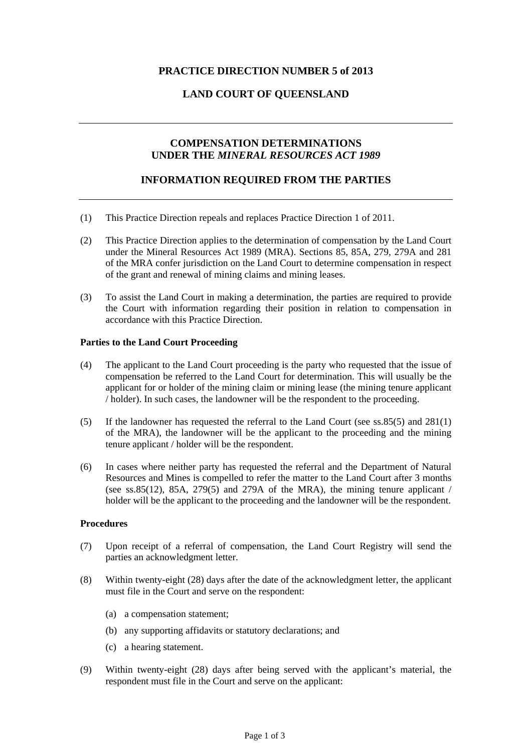# **PRACTICE DIRECTION NUMBER 5 of 2013**

# **LAND COURT OF QUEENSLAND**

# **COMPENSATION DETERMINATIONS UNDER THE** *MINERAL RESOURCES ACT 1989*

### **INFORMATION REQUIRED FROM THE PARTIES**

- (1) This Practice Direction repeals and replaces Practice Direction 1 of 2011.
- (2) This Practice Direction applies to the determination of compensation by the Land Court under the Mineral Resources Act 1989 (MRA). Sections 85, 85A, 279, 279A and 281 of the MRA confer jurisdiction on the Land Court to determine compensation in respect of the grant and renewal of mining claims and mining leases.
- (3) To assist the Land Court in making a determination, the parties are required to provide the Court with information regarding their position in relation to compensation in accordance with this Practice Direction.

### **Parties to the Land Court Proceeding**

- (4) The applicant to the Land Court proceeding is the party who requested that the issue of compensation be referred to the Land Court for determination. This will usually be the applicant for or holder of the mining claim or mining lease (the mining tenure applicant / holder). In such cases, the landowner will be the respondent to the proceeding.
- (5) If the landowner has requested the referral to the Land Court (see ss.85(5) and 281(1) of the MRA), the landowner will be the applicant to the proceeding and the mining tenure applicant / holder will be the respondent.
- (6) In cases where neither party has requested the referral and the Department of Natural Resources and Mines is compelled to refer the matter to the Land Court after 3 months (see ss.85(12), 85A, 279(5) and 279A of the MRA), the mining tenure applicant  $\ell$ holder will be the applicant to the proceeding and the landowner will be the respondent.

### **Procedures**

- (7) Upon receipt of a referral of compensation, the Land Court Registry will send the parties an acknowledgment letter.
- (8) Within twenty-eight (28) days after the date of the acknowledgment letter, the applicant must file in the Court and serve on the respondent:
	- (a) a compensation statement;
	- (b) any supporting affidavits or statutory declarations; and
	- (c) a hearing statement.
- (9) Within twenty-eight (28) days after being served with the applicant's material, the respondent must file in the Court and serve on the applicant: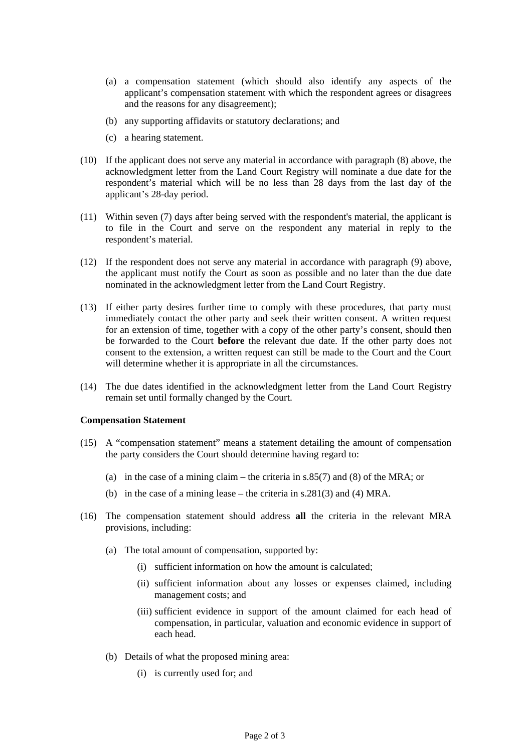- (a) a compensation statement (which should also identify any aspects of the applicant's compensation statement with which the respondent agrees or disagrees and the reasons for any disagreement);
- (b) any supporting affidavits or statutory declarations; and
- (c) a hearing statement.
- (10) If the applicant does not serve any material in accordance with paragraph (8) above, the acknowledgment letter from the Land Court Registry will nominate a due date for the respondent's material which will be no less than 28 days from the last day of the applicant's 28-day period.
- (11) Within seven (7) days after being served with the respondent's material, the applicant is to file in the Court and serve on the respondent any material in reply to the respondent's material.
- (12) If the respondent does not serve any material in accordance with paragraph (9) above, the applicant must notify the Court as soon as possible and no later than the due date nominated in the acknowledgment letter from the Land Court Registry.
- (13) If either party desires further time to comply with these procedures, that party must immediately contact the other party and seek their written consent. A written request for an extension of time, together with a copy of the other party's consent, should then be forwarded to the Court **before** the relevant due date. If the other party does not consent to the extension, a written request can still be made to the Court and the Court will determine whether it is appropriate in all the circumstances.
- (14) The due dates identified in the acknowledgment letter from the Land Court Registry remain set until formally changed by the Court.

#### **Compensation Statement**

- (15) A "compensation statement" means a statement detailing the amount of compensation the party considers the Court should determine having regard to:
	- (a) in the case of a mining claim the criteria in  $s.85(7)$  and (8) of the MRA; or
	- (b) in the case of a mining lease the criteria in s.281(3) and (4) MRA.
- (16) The compensation statement should address **all** the criteria in the relevant MRA provisions, including:
	- (a) The total amount of compensation, supported by:
		- (i) sufficient information on how the amount is calculated;
		- (ii) sufficient information about any losses or expenses claimed, including management costs; and
		- (iii) sufficient evidence in support of the amount claimed for each head of compensation, in particular, valuation and economic evidence in support of each head.
	- (b) Details of what the proposed mining area:
		- (i) is currently used for; and